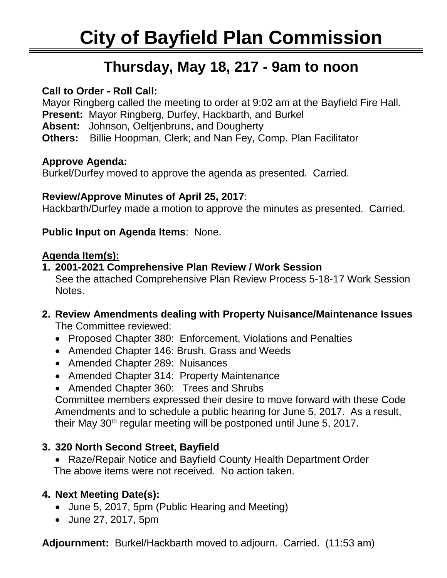# Ī **Thursday, May 18, 217 - 9am to noon**

### **Call to Order - Roll Call:**

Mayor Ringberg called the meeting to order at 9:02 am at the Bayfield Fire Hall. **Present:** Mayor Ringberg, Durfey, Hackbarth, and Burkel **Absent:** Johnson, Oeltjenbruns, and Dougherty **Others:** Billie Hoopman, Clerk; and Nan Fey, Comp. Plan Facilitator

#### **Approve Agenda:**

Burkel/Durfey moved to approve the agenda as presented. Carried.

### **Review/Approve Minutes of April 25, 2017**:

Hackbarth/Durfey made a motion to approve the minutes as presented. Carried.

### **Public Input on Agenda Items**: None.

### **Agenda Item(s):**

- **1. 2001-2021 Comprehensive Plan Review / Work Session** See the attached Comprehensive Plan Review Process 5-18-17 Work Session Notes.
- **2. Review Amendments dealing with Property Nuisance/Maintenance Issues** The Committee reviewed:
	- Proposed Chapter 380: Enforcement, Violations and Penalties
	- Amended Chapter 146: Brush, Grass and Weeds
	- Amended Chapter 289: Nuisances
	- Amended Chapter 314: Property Maintenance
	- Amended Chapter 360: Trees and Shrubs

Committee members expressed their desire to move forward with these Code Amendments and to schedule a public hearing for June 5, 2017. As a result, their May 30<sup>th</sup> regular meeting will be postponed until June 5, 2017.

## **3. 320 North Second Street, Bayfield**

• Raze/Repair Notice and Bayfield County Health Department Order The above items were not received. No action taken.

## **4. Next Meeting Date(s):**

- June 5, 2017, 5pm (Public Hearing and Meeting)
- June 27, 2017, 5pm

**Adjournment:** Burkel/Hackbarth moved to adjourn. Carried. (11:53 am)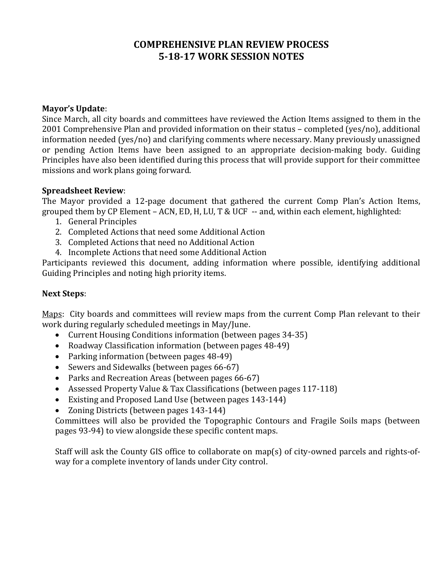#### **COMPREHENSIVE PLAN REVIEW PROCESS 5-18-17 WORK SESSION NOTES**

#### **Mayor's Update**:

Since March, all city boards and committees have reviewed the Action Items assigned to them in the 2001 Comprehensive Plan and provided information on their status – completed (yes/no), additional information needed (yes/no) and clarifying comments where necessary. Many previously unassigned or pending Action Items have been assigned to an appropriate decision-making body. Guiding Principles have also been identified during this process that will provide support for their committee missions and work plans going forward.

#### **Spreadsheet Review**:

The Mayor provided a 12-page document that gathered the current Comp Plan's Action Items, grouped them by CP Element – ACN, ED, H, LU, T & UCF -- and, within each element, highlighted:

- 1. General Principles
- 2. Completed Actions that need some Additional Action
- 3. Completed Actions that need no Additional Action
- 4. Incomplete Actions that need some Additional Action

Participants reviewed this document, adding information where possible, identifying additional Guiding Principles and noting high priority items.

#### **Next Steps**:

Maps: City boards and committees will review maps from the current Comp Plan relevant to their work during regularly scheduled meetings in May/June.

- Current Housing Conditions information (between pages 34-35)
- Roadway Classification information (between pages 48-49)
- Parking information (between pages 48-49)
- Sewers and Sidewalks (between pages 66-67)
- Parks and Recreation Areas (between pages 66-67)
- Assessed Property Value & Tax Classifications (between pages 117-118)
- Existing and Proposed Land Use (between pages 143-144)
- Zoning Districts (between pages 143-144)

Committees will also be provided the Topographic Contours and Fragile Soils maps (between pages 93-94) to view alongside these specific content maps.

Staff will ask the County GIS office to collaborate on map(s) of city-owned parcels and rights-ofway for a complete inventory of lands under City control.